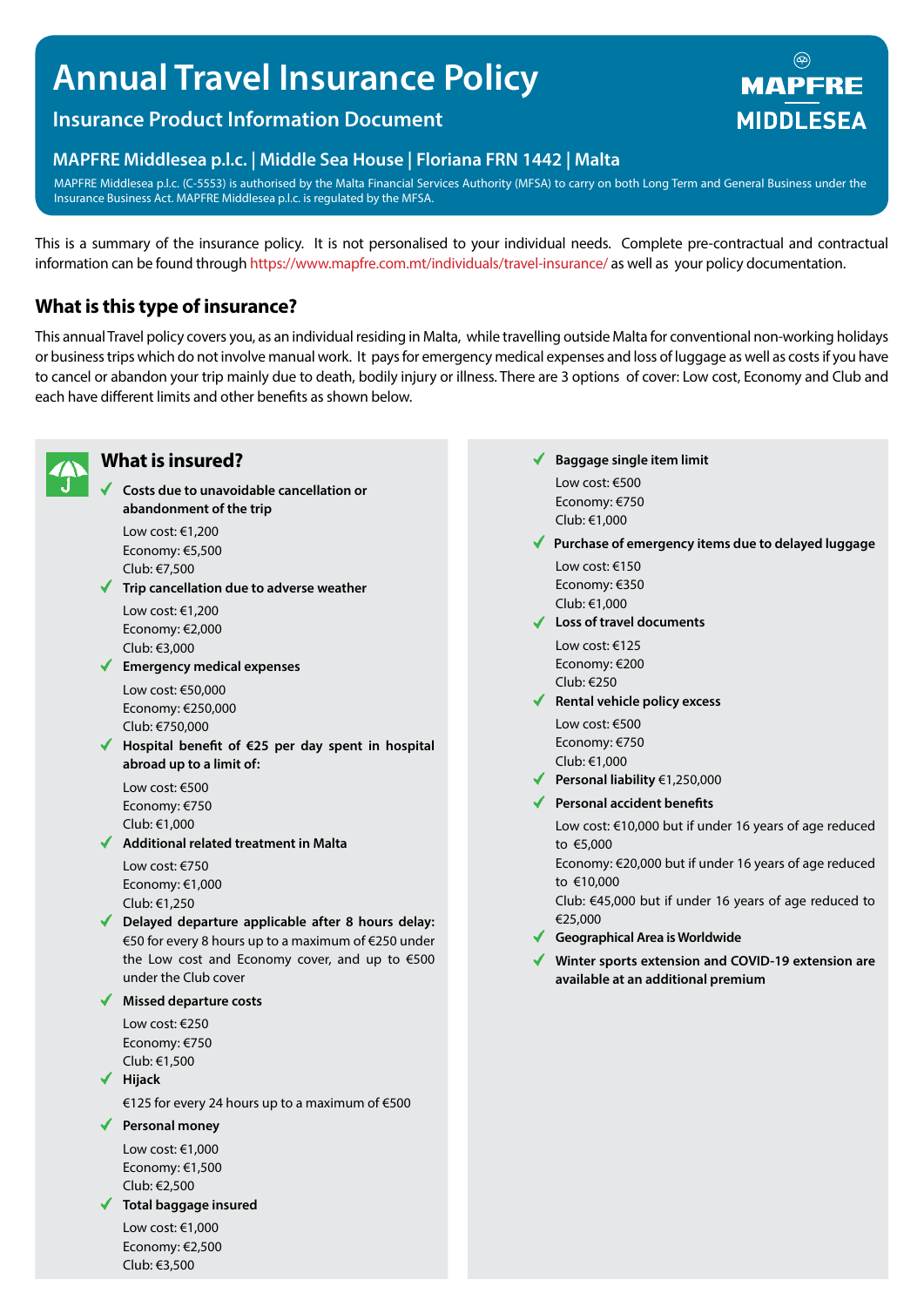# **Annual Travel Insurance Policy**

# **Insurance Product Information Document**

## **MAPFRE Middlesea p.l.c. | Middle Sea House | Floriana FRN 1442 | Malta**

MAPFRE Middlesea p.l.c. (C-5553) is authorised by the Malta Financial Services Authority (MFSA) to carry on both Long Term and General Business under the Insurance Business Act. MAPFRE Middlesea p.l.c. is regulated by the MFSA.

This is a summary of the insurance policy. It is not personalised to your individual needs. Complete pre-contractual and contractual information can be found through https://www.mapfre.com.mt/individuals/travel-insurance/ as well as your policy documentation.

# **What is this type of insurance?**

This annual Travel policy covers you, as an individual residing in Malta, while travelling outside Malta for conventional non-working holidays or business trips which do not involve manual work. It pays for emergency medical expenses and loss of luggage as well as costs if you have to cancel or abandon your trip mainly due to death, bodily injury or illness. There are 3 options of cover: Low cost, Economy and Club and each have different limits and other benefits as shown below.



# **What is insured?**

**Costs due to unavoidable cancellation or abandonment of the trip**

Low cost: €1,200 Economy: €5,500 Club: €7,500

**Trip cancellation due to adverse weather** Low cost: €1,200

Economy: €2,000 Club: €3,000

**Emergency medical expenses**

Low cost: €50,000 Economy: €250,000 Club: €750,000

**Hospital benefit of €25 per day spent in hospital abroad up to a limit of:**

Low cost: €500 Economy: €750 Club: €1,000

**Additional related treatment in Malta** Low cost: €750

Economy: €1,000 Club: €1,250

**Delayed departure applicable after 8 hours delay:**  €50 for every 8 hours up to a maximum of €250 under the Low cost and Economy cover, and up to €500 under the Club cover

**Missed departure costs**

Low cost: €250 Economy: €750 Club: €1,500

**Hijack**

€125 for every 24 hours up to a maximum of €500

#### **Personal money**

Low cost: €1,000 Economy: €1,500 Club: €2,500

#### **Total baggage insured**

Low cost: €1,000 Economy: €2,500 Club: €3,500

- **Baggage single item limit** Low cost: €500 Economy: €750 Club: €1,000
- **Purchase of emergency items due to delayed luggage**

Low cost: €150 Economy: €350 Club: €1,000

**Loss of travel documents**

Low cost: €125 Economy: €200 Club: €250

- **Rental vehicle policy excess** Low cost: €500 Economy: €750 Club: €1,000
- **Personal liability** €1,250,000
- **Personal accident benefits**

Low cost: €10,000 but if under 16 years of age reduced to €5,000

Economy: €20,000 but if under 16 years of age reduced to €10,000

Club: €45,000 but if under 16 years of age reduced to €25,000

- **Geographical Area is Worldwide**
- **Winter sports extension and COVID-19 extension are available at an additional premium**